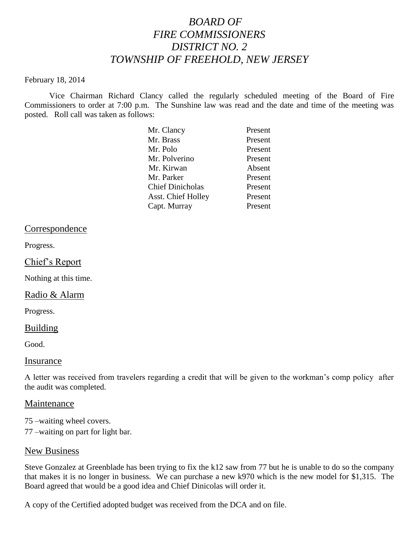# *BOARD OF FIRE COMMISSIONERS DISTRICT NO. 2 TOWNSHIP OF FREEHOLD, NEW JERSEY*

#### February 18, 2014

Vice Chairman Richard Clancy called the regularly scheduled meeting of the Board of Fire Commissioners to order at 7:00 p.m. The Sunshine law was read and the date and time of the meeting was posted. Roll call was taken as follows:

| Mr. Clancy                | Present |
|---------------------------|---------|
| Mr. Brass                 | Present |
| Mr. Polo                  | Present |
| Mr. Polverino             | Present |
| Mr. Kirwan                | Absent  |
| Mr. Parker                | Present |
| <b>Chief Dinicholas</b>   | Present |
| <b>Asst. Chief Holley</b> | Present |
| Capt. Murray              | Present |
|                           |         |

#### Correspondence

Progress.

#### Chief's Report

Nothing at this time.

#### Radio & Alarm

Progress.

#### Building

Good.

#### Insurance

A letter was received from travelers regarding a credit that will be given to the workman's comp policy after the audit was completed.

#### Maintenance

75 –waiting wheel covers.

77 –waiting on part for light bar.

#### New Business

Steve Gonzalez at Greenblade has been trying to fix the k12 saw from 77 but he is unable to do so the company that makes it is no longer in business. We can purchase a new k970 which is the new model for \$1,315. The Board agreed that would be a good idea and Chief Dinicolas will order it.

A copy of the Certified adopted budget was received from the DCA and on file.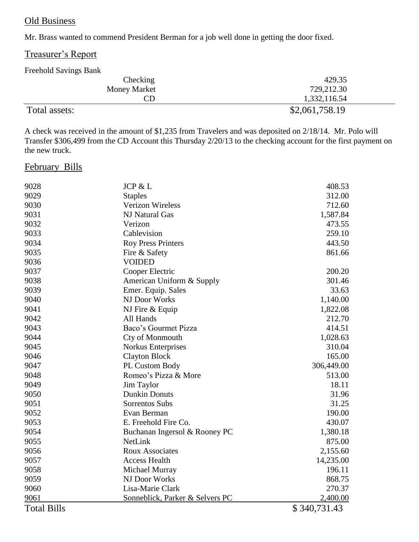## Old Business

Mr. Brass wanted to commend President Berman for a job well done in getting the door fixed.

## Treasurer's Report

### Freehold Savings Bank

| Checking            | 429.35         |
|---------------------|----------------|
| <b>Money Market</b> | 729,212.30     |
| CD                  | 1,332,116.54   |
| Total assets:       | \$2,061,758.19 |

A check was received in the amount of \$1,235 from Travelers and was deposited on 2/18/14. Mr. Polo will Transfer \$306,499 from the CD Account this Thursday 2/20/13 to the checking account for the first payment on the new truck.

## February Bills

| 9028               | <b>JCP &amp; L</b>              | 408.53       |
|--------------------|---------------------------------|--------------|
| 9029               | <b>Staples</b>                  | 312.00       |
| 9030               | <b>Verizon Wireless</b>         | 712.60       |
| 9031               | <b>NJ Natural Gas</b>           | 1,587.84     |
| 9032               | Verizon                         | 473.55       |
| 9033               | Cablevision                     | 259.10       |
| 9034               | <b>Roy Press Printers</b>       | 443.50       |
| 9035               | Fire & Safety                   | 861.66       |
| 9036               | <b>VOIDED</b>                   |              |
| 9037               | Cooper Electric                 | 200.20       |
| 9038               | American Uniform & Supply       | 301.46       |
| 9039               | Emer. Equip. Sales              | 33.63        |
| 9040               | NJ Door Works                   | 1,140.00     |
| 9041               | NJ Fire & Equip                 | 1,822.08     |
| 9042               | All Hands                       | 212.70       |
| 9043               | Baco's Gourmet Pizza            | 414.51       |
| 9044               | Cty of Monmouth                 | 1,028.63     |
| 9045               | <b>Norkus Enterprises</b>       | 310.04       |
| 9046               | <b>Clayton Block</b>            | 165.00       |
| 9047               | PL Custom Body                  | 306,449.00   |
| 9048               | Romeo's Pizza & More            | 513.00       |
| 9049               | Jim Taylor                      | 18.11        |
| 9050               | <b>Dunkin Donuts</b>            | 31.96        |
| 9051               | Sorrentos Subs                  | 31.25        |
| 9052               | Evan Berman                     | 190.00       |
| 9053               | E. Freehold Fire Co.            | 430.07       |
| 9054               | Buchanan Ingersol & Rooney PC   | 1,380.18     |
| 9055               | NetLink                         | 875.00       |
| 9056               | <b>Roux Associates</b>          | 2,155.60     |
| 9057               | <b>Access Health</b>            | 14,235.00    |
| 9058               | Michael Murray                  | 196.11       |
| 9059               | NJ Door Works                   | 868.75       |
| 9060               | Lisa-Marie Clark                | 270.37       |
| 9061               | Sonneblick, Parker & Selvers PC | 2,400.00     |
| <b>Total Bills</b> |                                 | \$340,731.43 |